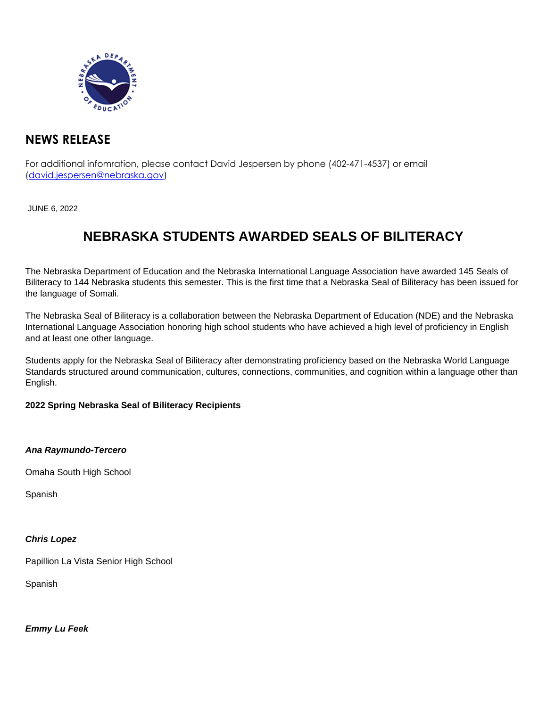

## **NEWS RELEASE**

For additional infomration, please contact David Jespersen by phone (402-471-4537) or email (david.jespersen@nebraska.gov)

JUNE 6, 2022

# **NEBRASKA STUDENTS AWARDED SEALS OF BILITERACY**

The Nebraska Department of Education and the Nebraska International Language Association have awarded 145 Seals of Biliteracy to 144 Nebraska students this semester. This is the first time that a Nebraska Seal of Biliteracy has been issued for the language of Somali.

The Nebraska Seal of Biliteracy is a collaboration between the Nebraska Department of Education (NDE) and the Nebraska International Language Association honoring high school students who have achieved a high level of proficiency in English and at least one other language.

Students apply for the Nebraska Seal of Biliteracy after demonstrating proficiency based on the Nebraska World Language Standards structured around communication, cultures, connections, communities, and cognition within a language other than English.

#### **2022 Spring Nebraska Seal of Biliteracy Recipients**

**Ana Raymundo-Tercero**

Omaha South High School

Spanish

#### **Chris Lopez**

Papillion La Vista Senior High School

Spanish

**Emmy Lu Feek**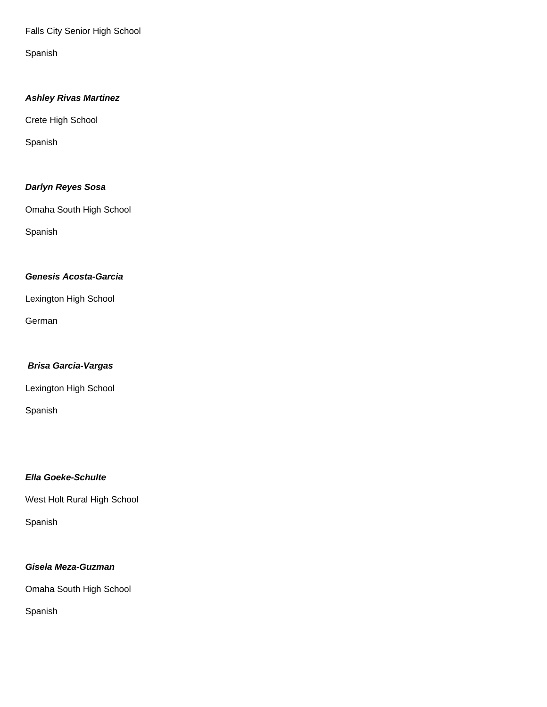Falls City Senior High School

Spanish

## **Ashley Rivas Martinez**

Crete High School

Spanish

## **Darlyn Reyes Sosa**

Omaha South High School

Spanish

## **Genesis Acosta-Garcia**

Lexington High School

German

## **Brisa Garcia-Vargas**

Lexington High School

Spanish

## **Ella Goeke-Schulte**

West Holt Rural High School

Spanish

## **Gisela Meza-Guzman**

Omaha South High School

Spanish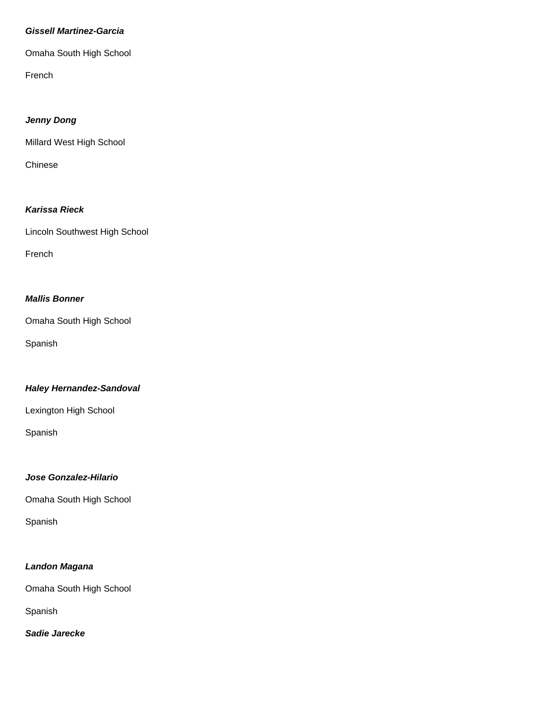#### **Gissell Martinez-Garcia**

Omaha South High School

French

#### **Jenny Dong**

Millard West High School

Chinese

## **Karissa Rieck**

Lincoln Southwest High School

French

## **Mallis Bonner**

Omaha South High School

Spanish

## **Haley Hernandez-Sandoval**

Lexington High School

Spanish

## **Jose Gonzalez-Hilario**

Omaha South High School

Spanish

## **Landon Magana**

Omaha South High School

Spanish

**Sadie Jarecke**